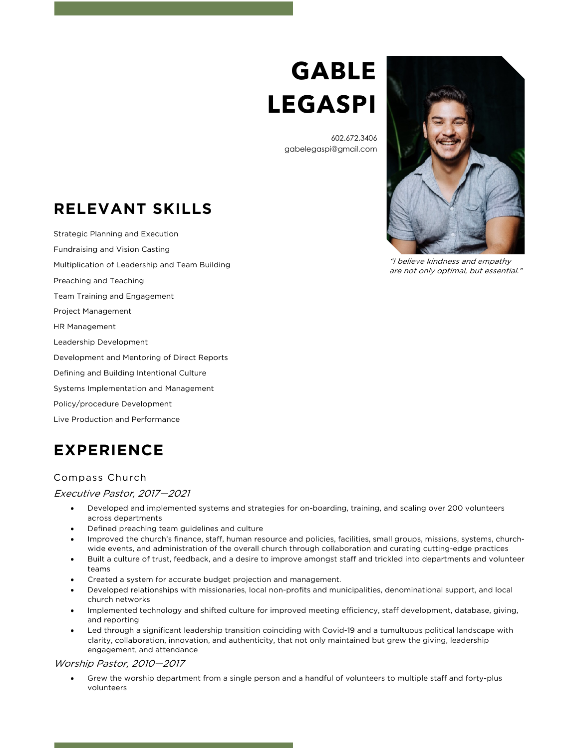# **GABLE LEGASPI**

602.672.3406 gabelegaspi@gmail.com

# **RELEVANT SKILLS**

Strategic Planning and Execution Fundraising and Vision Casting Multiplication of Leadership and Team Building Preaching and Teaching Team Training and Engagement Project Management HR Management Leadership Development Development and Mentoring of Direct Reports Defining and Building Intentional Culture Systems Implementation and Management Policy/procedure Development Live Production and Performance

# **EXPERIENCE**

### Compass Church

#### Executive Pastor, 2017—2021

- Developed and implemented systems and strategies for on-boarding, training, and scaling over 200 volunteers across departments
- Defined preaching team guidelines and culture
- Improved the church's finance, staff, human resource and policies, facilities, small groups, missions, systems, churchwide events, and administration of the overall church through collaboration and curating cutting-edge practices
- Built a culture of trust, feedback, and a desire to improve amongst staff and trickled into departments and volunteer teams
- Created a system for accurate budget projection and management.
- Developed relationships with missionaries, local non-profits and municipalities, denominational support, and local church networks
- Implemented technology and shifted culture for improved meeting efficiency, staff development, database, giving, and reporting
- Led through a significant leadership transition coinciding with Covid-19 and a tumultuous political landscape with clarity, collaboration, innovation, and authenticity, that not only maintained but grew the giving, leadership engagement, and attendance

#### Worship Pastor, 2010—2017

• Grew the worship department from a single person and a handful of volunteers to multiple staff and forty-plus volunteers

"I believe kindness and empathy are not only optimal, but essential."